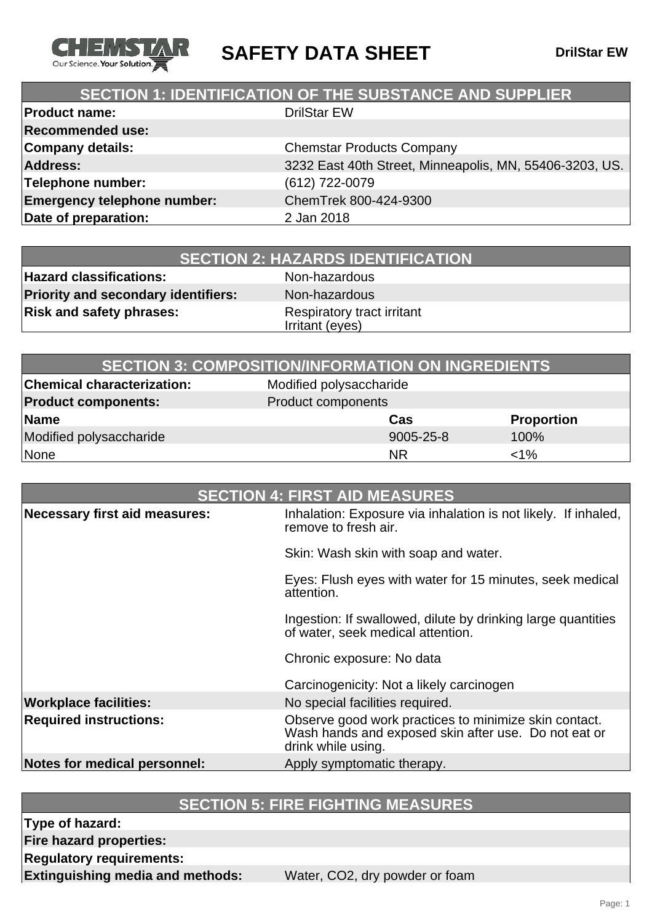

**SAFETY DATA SHEET** DrilStar EW

# **SECTION 1: IDENTIFICATION OF THE SUBSTANCE AND SUPPLIER**

| <b>Product name:</b>               | <b>DrilStar EW</b>                                      |
|------------------------------------|---------------------------------------------------------|
| <b>Recommended use:</b>            |                                                         |
| Company details:                   | <b>Chemstar Products Company</b>                        |
| <b>Address:</b>                    | 3232 East 40th Street, Minneapolis, MN, 55406-3203, US. |
| Telephone number:                  | (612) 722-0079                                          |
| <b>Emergency telephone number:</b> | ChemTrek 800-424-9300                                   |
| Date of preparation:               | 2 Jan 2018                                              |
|                                    |                                                         |

**Hazard classifications:** Non-hazardous **Priority and secondary identifiers:** Non-hazardous **Risk and safety phrases:** Respiratory tract irritant

Irritant (eyes)

|                                   | <b>SECTION 3: COMPOSITION/INFORMATION ON INGREDIENTS</b> |                   |
|-----------------------------------|----------------------------------------------------------|-------------------|
| <b>Chemical characterization:</b> | Modified polysaccharide                                  |                   |
| <b>Product components:</b>        | Product components                                       |                   |
| Name                              | Cas                                                      | <b>Proportion</b> |
| Modified polysaccharide           | 9005-25-8                                                | 100%              |
| None                              | <b>NR</b>                                                | $<$ 1%            |

| <b>SECTION 4: FIRST AID MEASURES</b> |                                                                                                                                     |
|--------------------------------------|-------------------------------------------------------------------------------------------------------------------------------------|
| Necessary first aid measures:        | Inhalation: Exposure via inhalation is not likely. If inhaled,<br>remove to fresh air.                                              |
|                                      | Skin: Wash skin with soap and water.                                                                                                |
|                                      | Eyes: Flush eyes with water for 15 minutes, seek medical<br>attention.                                                              |
|                                      | Ingestion: If swallowed, dilute by drinking large quantities<br>of water, seek medical attention.                                   |
|                                      | Chronic exposure: No data                                                                                                           |
|                                      | Carcinogenicity: Not a likely carcinogen                                                                                            |
| <b>Workplace facilities:</b>         | No special facilities required.                                                                                                     |
| <b>Required instructions:</b>        | Observe good work practices to minimize skin contact.<br>Wash hands and exposed skin after use. Do not eat or<br>drink while using. |
| Notes for medical personnel:         | Apply symptomatic therapy.                                                                                                          |

# **SECTION 5: FIRE FIGHTING MEASURES**

**Type of hazard:**

**Fire hazard properties:**

**Regulatory requirements:**

**Extinguishing media and methods:** Water, CO2, dry powder or foam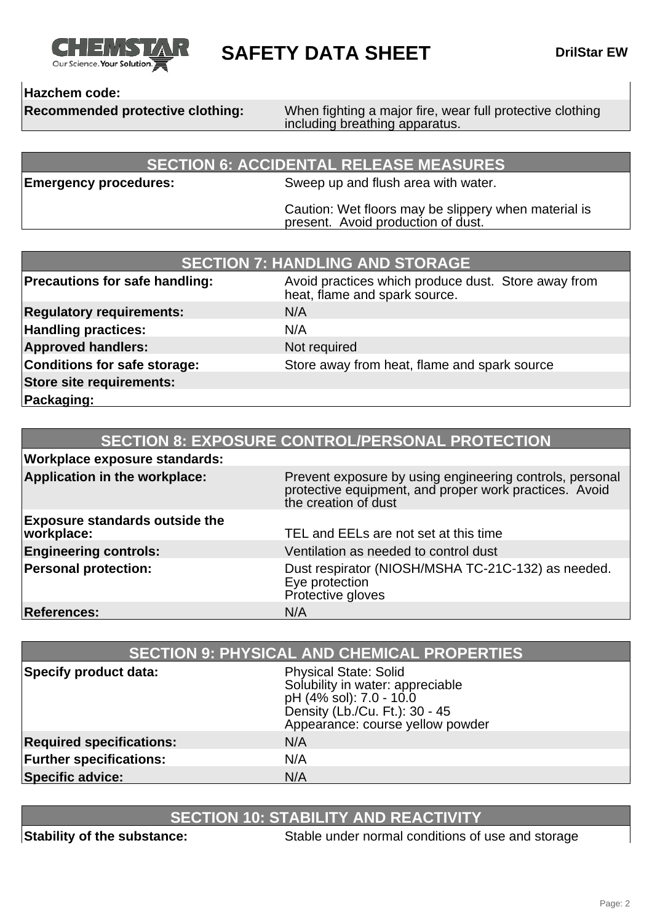

**SAFETY DATA SHEET** DrilStar EW

### **Hazchem code:**

**Recommended protective clothing:** When fighting a major fire, wear full protective clothing including breathing apparatus.

### **SECTION 6: ACCIDENTAL RELEASE MEASURES**

**Emergency procedures:** Sweep up and flush area with water.

Caution: Wet floors may be slippery when material is present. Avoid production of dust.

| <b>SECTION 7: HANDLING AND STORAGE</b> |                                                                                      |
|----------------------------------------|--------------------------------------------------------------------------------------|
| <b>Precautions for safe handling:</b>  | Avoid practices which produce dust. Store away from<br>heat, flame and spark source. |
| <b>Regulatory requirements:</b>        | N/A                                                                                  |
| <b>Handling practices:</b>             | N/A                                                                                  |
| <b>Approved handlers:</b>              | Not required                                                                         |
| Conditions for safe storage:           | Store away from heat, flame and spark source                                         |
| Store site requirements:               |                                                                                      |
| Packaging:                             |                                                                                      |

| <b>SECTION 8: EXPOSURE CONTROL/PERSONAL PROTECTION</b> |                                                                                                                                            |
|--------------------------------------------------------|--------------------------------------------------------------------------------------------------------------------------------------------|
| <b>Workplace exposure standards:</b>                   |                                                                                                                                            |
| Application in the workplace:                          | Prevent exposure by using engineering controls, personal<br>protective equipment, and proper work practices. Avoid<br>the creation of dust |
| <b>Exposure standards outside the</b><br>workplace:    | TEL and EELs are not set at this time                                                                                                      |
| <b>Engineering controls:</b>                           | Ventilation as needed to control dust                                                                                                      |
| <b>Personal protection:</b>                            | Dust respirator (NIOSH/MSHA TC-21C-132) as needed.<br>Eye protection<br>Protective gloves                                                  |
| <b>References:</b>                                     | N/A                                                                                                                                        |

| <b>SECTION 9: PHYSICAL AND CHEMICAL PROPERTIES</b> |                                                                                                                                                                   |
|----------------------------------------------------|-------------------------------------------------------------------------------------------------------------------------------------------------------------------|
| Specify product data:                              | <b>Physical State: Solid</b><br>Solubility in water: appreciable<br>pH (4% sol): 7.0 - 10.0<br>Density (Lb./Cu. Ft.): 30 - 45<br>Appearance: course yellow powder |
| <b>Required specifications:</b>                    | N/A                                                                                                                                                               |
| <b>Further specifications:</b>                     | N/A                                                                                                                                                               |
| <b>Specific advice:</b>                            | N/A                                                                                                                                                               |

# **SECTION 10: STABILITY AND REACTIVITY**

**Stability of the substance:** Stable under normal conditions of use and storage